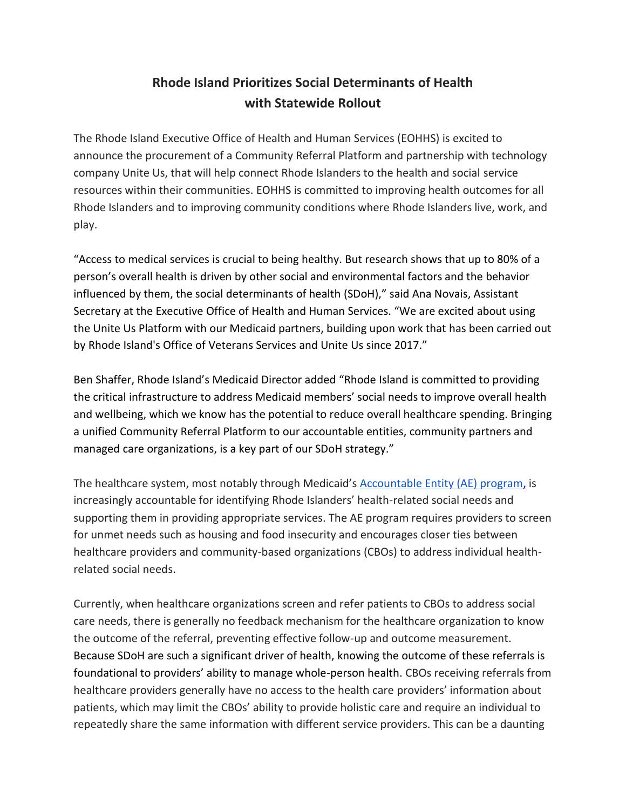## **Rhode Island Prioritizes Social Determinants of Health with Statewide Rollout**

The Rhode Island Executive Office of Health and Human Services (EOHHS) is excited to announce the procurement of a Community Referral Platform and partnership with technology company Unite Us, that will help connect Rhode Islanders to the health and social service resources within their communities. EOHHS is committed to improving health outcomes for all Rhode Islanders and to improving community conditions where Rhode Islanders live, work, and play.

"Access to medical services is crucial to being healthy. But research shows that up to 80% of a person's overall health is driven by other social and environmental factors and the behavior influenced by them, the social determinants of health (SDoH)," said Ana Novais, Assistant Secretary at the Executive Office of Health and Human Services. "We are excited about using the Unite Us Platform with our Medicaid partners, building upon work that has been carried out by Rhode Island's Office of Veterans Services and Unite Us since 2017."

Ben Shaffer, Rhode Island's Medicaid Director added "Rhode Island is committed to providing the critical infrastructure to address Medicaid members' social needs to improve overall health and wellbeing, which we know has the potential to reduce overall healthcare spending. Bringing a unified Community Referral Platform to our accountable entities, community partners and managed care organizations, is a key part of our SDoH strategy."

The healthcare system, most notably through Medicaid's **Accountable Entity (AE)** program, is increasingly accountable for identifying Rhode Islanders' health-related social needs and supporting them in providing appropriate services. The AE program requires providers to screen for unmet needs such as housing and food insecurity and encourages closer ties between healthcare providers and community-based organizations (CBOs) to address individual healthrelated social needs.

Currently, when healthcare organizations screen and refer patients to CBOs to address social care needs, there is generally no feedback mechanism for the healthcare organization to know the outcome of the referral, preventing effective follow-up and outcome measurement. Because SDoH are such a significant driver of health, knowing the outcome of these referrals is foundational to providers' ability to manage whole-person health. CBOs receiving referrals from healthcare providers generally have no access to the health care providers' information about patients, which may limit the CBOs' ability to provide holistic care and require an individual to repeatedly share the same information with different service providers. This can be a daunting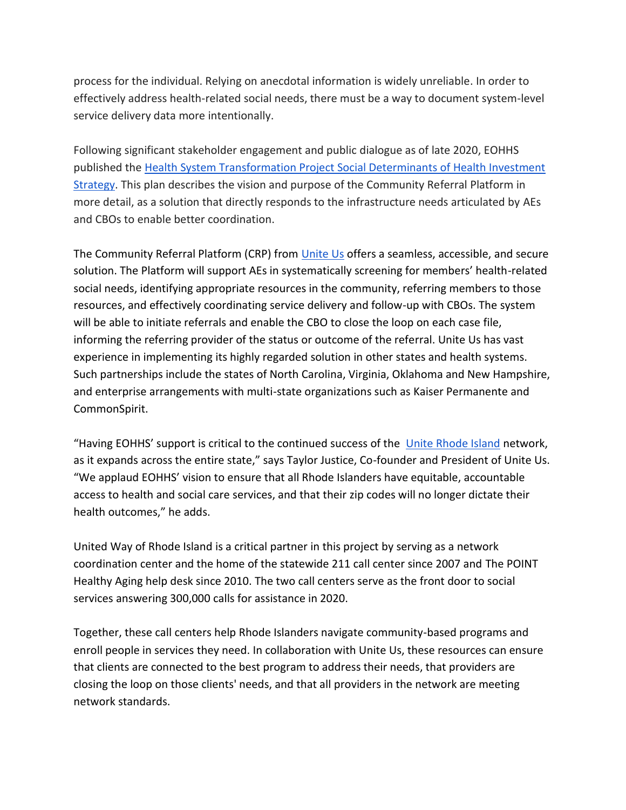process for the individual. Relying on anecdotal information is widely unreliable. In order to effectively address health-related social needs, there must be a way to document system-level service delivery data more intentionally.

Following significant stakeholder engagement and public dialogue as of late 2020, EOHHS published the [Health System Transformation Project Social Determinants of Health Investment](https://eohhs.ri.gov/sites/g/files/xkgbur226/files/2021-03/HSTP%20Social%20Determinants%20of%20Health%20Investment%20Strategy_Final.pdf)  [Strategy.](https://eohhs.ri.gov/sites/g/files/xkgbur226/files/2021-03/HSTP%20Social%20Determinants%20of%20Health%20Investment%20Strategy_Final.pdf) This plan describes the vision and purpose of the Community Referral Platform in more detail, as a solution that directly responds to the infrastructure needs articulated by AEs and CBOs to enable better coordination.

The Community Referral Platform (CRP) from [Unite Us](https://uniteus.com/unite-us-launches-a-coordinated-care-network-to-address-social-determinants-of-health-in-the-keystone-state/?utm_term=&utm_campaign=Healthcare+Awareness+Campaign&utm_source=adwords&utm_medium=ppc&hsa_acc=1725281010&hsa_cam=2086696035&hsa_grp=80873923670&hsa_ad=452502957584&hsa_src=g&hsa_tgt=dsa-484862941806&hsa_kw=&hsa_mt=b&hsa_net=adwords&hsa_ver=3&gclid=Cj0KCQjw1a6EBhC0ARIsAOiTkrHAA8RuYO4_LIQxpFK66ULc_CcvSm45xrJQCta71oOO3vrqzN_d5MEaAhnsEALw_wcB) offers a seamless, accessible, and secure solution. The Platform will support AEs in systematically screening for members' health-related social needs, identifying appropriate resources in the community, referring members to those resources, and effectively coordinating service delivery and follow-up with CBOs. The system will be able to initiate referrals and enable the CBO to close the loop on each case file, informing the referring provider of the status or outcome of the referral. Unite Us has vast experience in implementing its highly regarded solution in other states and health systems. Such partnerships include the states of North Carolina, Virginia, Oklahoma and New Hampshire, and enterprise arrangements with multi-state organizations such as Kaiser Permanente and CommonSpirit.

"Having EOHHS' support is critical to the continued success of the [Unite Rhode Island](https://rhodeisland.uniteus.com/about/) network, as it expands across the entire state," says Taylor Justice, Co-founder and President of Unite Us. "We applaud EOHHS' vision to ensure that all Rhode Islanders have equitable, accountable access to health and social care services, and that their zip codes will no longer dictate their health outcomes," he adds.

United Way of Rhode Island is a critical partner in this project by serving as a network coordination center and the home of the statewide 211 call center since 2007 and The POINT Healthy Aging help desk since 2010. The two call centers serve as the front door to social services answering 300,000 calls for assistance in 2020.

Together, these call centers help Rhode Islanders navigate community-based programs and enroll people in services they need. In collaboration with Unite Us, these resources can ensure that clients are connected to the best program to address their needs, that providers are closing the loop on those clients' needs, and that all providers in the network are meeting network standards.